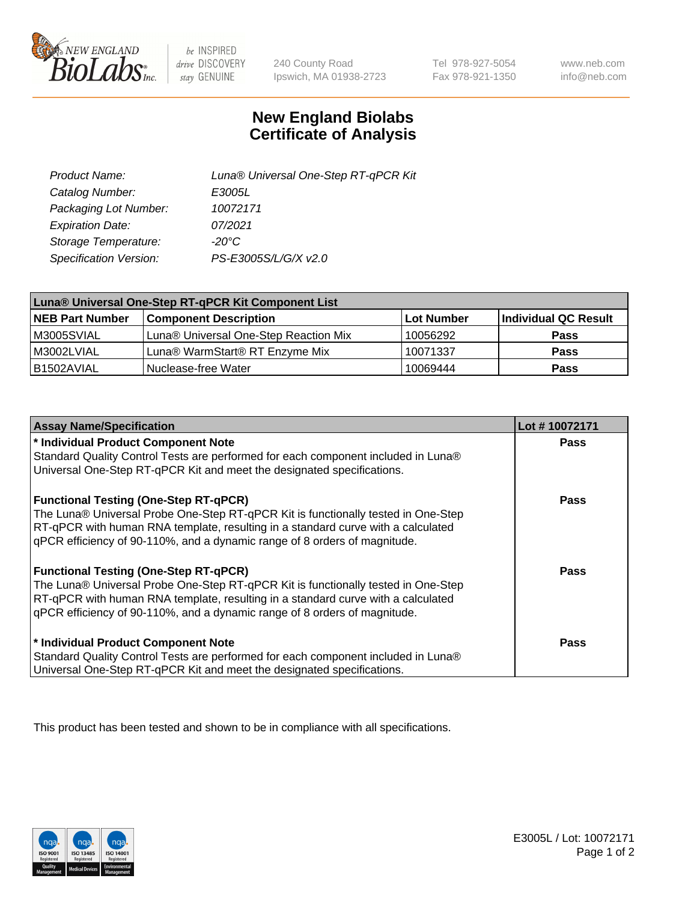

 $be$  INSPIRED drive DISCOVERY stay GENUINE

240 County Road Ipswich, MA 01938-2723 Tel 978-927-5054 Fax 978-921-1350

www.neb.com info@neb.com

## **New England Biolabs Certificate of Analysis**

| Product Name:           | Luna® Universal One-Step RT-qPCR Kit |
|-------------------------|--------------------------------------|
| Catalog Number:         | E3005L                               |
| Packaging Lot Number:   | 10072171                             |
| <b>Expiration Date:</b> | 07/2021                              |
| Storage Temperature:    | $-20^{\circ}$ C                      |
| Specification Version:  | PS-E3005S/L/G/X v2.0                 |

| Luna® Universal One-Step RT-qPCR Kit Component List |                                       |            |                      |  |
|-----------------------------------------------------|---------------------------------------|------------|----------------------|--|
| <b>NEB Part Number</b>                              | <b>Component Description</b>          | Lot Number | Individual QC Result |  |
| M3005SVIAL                                          | Luna® Universal One-Step Reaction Mix | 10056292   | <b>Pass</b>          |  |
| M3002LVIAL                                          | Luna® WarmStart® RT Enzyme Mix        | 10071337   | <b>Pass</b>          |  |
| B1502AVIAL                                          | Nuclease-free Water                   | 10069444   | <b>Pass</b>          |  |

| <b>Assay Name/Specification</b>                                                   | Lot #10072171 |
|-----------------------------------------------------------------------------------|---------------|
| * Individual Product Component Note                                               | <b>Pass</b>   |
| Standard Quality Control Tests are performed for each component included in Luna® |               |
| Universal One-Step RT-qPCR Kit and meet the designated specifications.            |               |
| <b>Functional Testing (One-Step RT-qPCR)</b>                                      | Pass          |
| The Luna® Universal Probe One-Step RT-qPCR Kit is functionally tested in One-Step |               |
| RT-qPCR with human RNA template, resulting in a standard curve with a calculated  |               |
| qPCR efficiency of 90-110%, and a dynamic range of 8 orders of magnitude.         |               |
| <b>Functional Testing (One-Step RT-qPCR)</b>                                      | Pass          |
| The Luna® Universal Probe One-Step RT-qPCR Kit is functionally tested in One-Step |               |
| RT-qPCR with human RNA template, resulting in a standard curve with a calculated  |               |
| qPCR efficiency of 90-110%, and a dynamic range of 8 orders of magnitude.         |               |
| * Individual Product Component Note                                               | <b>Pass</b>   |
| Standard Quality Control Tests are performed for each component included in Luna® |               |
| Universal One-Step RT-qPCR Kit and meet the designated specifications.            |               |

This product has been tested and shown to be in compliance with all specifications.